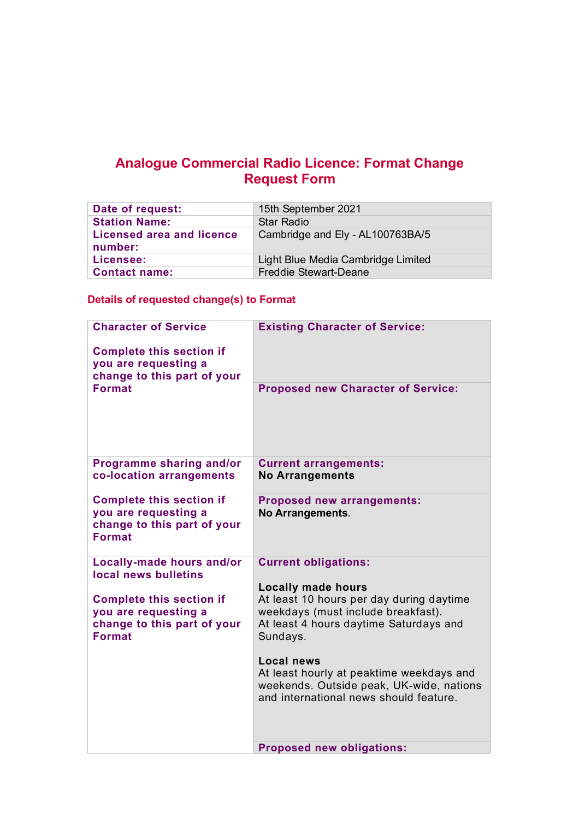## **Analogue Commercial Radio Licence: Format Change Request Form**

| Date of request:                            | 15th September 2021                |
|---------------------------------------------|------------------------------------|
| <b>Station Name:</b>                        | Star Radio                         |
| <b>Licensed area and licence</b><br>number: | Cambridge and Ely - AL100763BA/5   |
| Licensee:                                   | Light Blue Media Cambridge Limited |
| <b>Contact name:</b>                        | <b>Freddie Stewart-Deane</b>       |

## **Details of requested change(s) to Format**

| <b>Character of Service</b>                                                                             | <b>Existing Character of Service:</b>                                                                                                               |
|---------------------------------------------------------------------------------------------------------|-----------------------------------------------------------------------------------------------------------------------------------------------------|
| <b>Complete this section if</b><br>you are requesting a<br>change to this part of your                  |                                                                                                                                                     |
| <b>Format</b>                                                                                           | <b>Proposed new Character of Service:</b>                                                                                                           |
| Programme sharing and/or<br>co-location arrangements                                                    | <b>Current arrangements:</b><br><b>No Arrangements</b>                                                                                              |
| <b>Complete this section if</b><br>you are requesting a<br>change to this part of your<br><b>Format</b> | <b>Proposed new arrangements:</b><br><b>No Arrangements.</b>                                                                                        |
| <b>Locally-made hours and/or</b><br>local news bulletins                                                | <b>Current obligations:</b>                                                                                                                         |
| <b>Complete this section if</b>                                                                         | <b>Locally made hours</b><br>At least 10 hours per day during daytime                                                                               |
| you are requesting a<br>change to this part of your<br><b>Format</b>                                    | weekdays (must include breakfast).<br>At least 4 hours daytime Saturdays and<br>Sundays.                                                            |
|                                                                                                         | <b>Local news</b><br>At least hourly at peaktime weekdays and<br>weekends. Outside peak, UK-wide, nations<br>and international news should feature. |
|                                                                                                         | <b>Proposed new obligations:</b>                                                                                                                    |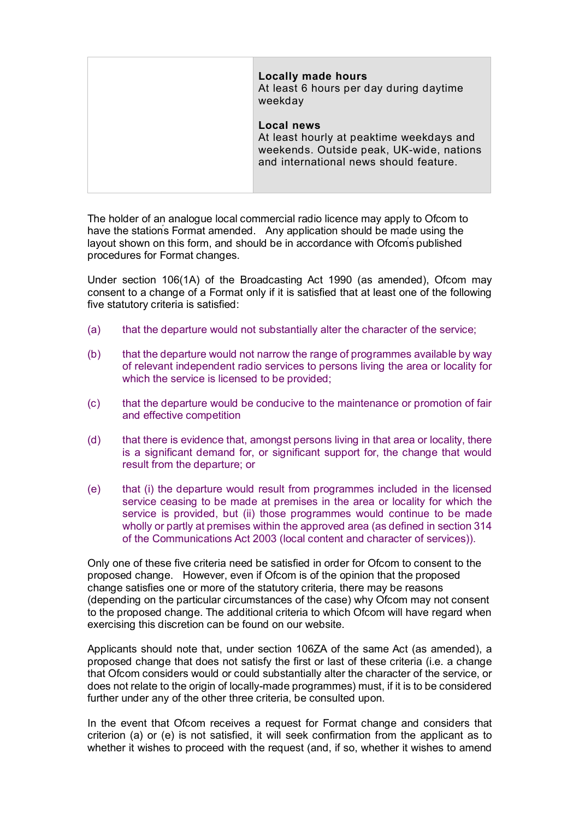|  | <b>Locally made hours</b><br>At least 6 hours per day during daytime<br>weekday                                                                     |
|--|-----------------------------------------------------------------------------------------------------------------------------------------------------|
|  | <b>Local news</b><br>At least hourly at peaktime weekdays and<br>weekends. Outside peak, UK-wide, nations<br>and international news should feature. |

The holder of an analogue local commercial radio licence may apply to Ofcom to have the stations Format amended. Any application should be made using the layout shown on this form, and should be in accordance with Ofcoms published procedures for Format changes.

Under section 106(1A) of the Broadcasting Act 1990 (as amended), Ofcom may consent to a change of a Format only if it is satisfied that at least one of the following five statutory criteria is satisfied:

- (a) that the departure would not substantially alter the character of the service;
- (b) that the departure would not narrow the range of programmes available by way of relevant independent radio services to persons living the area or locality for which the service is licensed to be provided;
- (c) that the departure would be conducive to the maintenance or promotion of fair and effective competition
- (d) that there is evidence that, amongst persons living in that area or locality, there is a significant demand for, or significant support for, the change that would result from the departure; or
- (e) that (i) the departure would result from programmes included in the licensed service ceasing to be made at premises in the area or locality for which the service is provided, but (ii) those programmes would continue to be made wholly or partly at premises within the approved area (as defined in section 314 of the Communications Act 2003 (local content and character of services)).

Only one of these five criteria need be satisfied in order for Ofcom to consent to the proposed change. However, even if Ofcom is of the opinion that the proposed change satisfies one or more of the statutory criteria, there may be reasons (depending on the particular circumstances of the case) why Ofcom may not consent to the proposed change. The additional criteria to which Ofcom will have regard when exercising this discretion can be found on our website.

Applicants should note that, under section 106ZA of the same Act (as amended), a proposed change that does not satisfy the first or last of these criteria (i.e. a change that Ofcom considers would or could substantially alter the character of the service, or does not relate to the origin of locally-made programmes) must, if it is to be considered further under any of the other three criteria, be consulted upon.

In the event that Ofcom receives a request for Format change and considers that criterion (a) or (e) is not satisfied, it will seek confirmation from the applicant as to whether it wishes to proceed with the request (and, if so, whether it wishes to amend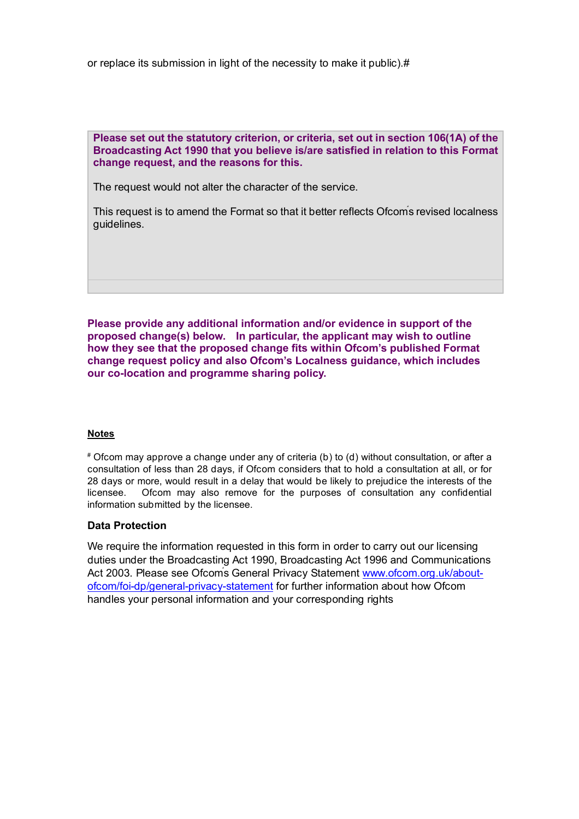or replace its submission in light of the necessity to make it public).#

**Please set out the statutory criterion, or criteria, set out in section 106(1A) of the Broadcasting Act 1990 that you believe is/are satisfied in relation to this Format change request, and the reasons for this.**

The request would not alter the character of the service.

This request is to amend the Format so that it better reflects Ofcoms revised localness guidelines.

**Please provide any additional information and/or evidence in support of the proposed change(s) below. In particular, the applicant may wish to outline how they see that the proposed change fits within Ofcom's published Format change request policy and also Ofcom's Localness guidance, which includes our co-location and programme sharing policy.** 

### **Notes**

# Ofcom may approve a change under any of criteria (b) to (d) without consultation, or after a consultation of less than 28 days, if Ofcom considers that to hold a consultation at all, or for 28 days or more, would result in a delay that would be likely to prejudice the interests of the licensee. Ofcom may also remove for the purposes of consultation any confidential information submitted by the licensee.

### **Data Protection**

We require the information requested in this form in order to carry out our licensing duties under the Broadcasting Act 1990, Broadcasting Act 1996 and Communications Act 2003. Please see Ofcom's General Privacy Statement www.ofcom.org.uk/aboutofcom/foi-dp/general-privacy-statement for further information about how Ofcom handles your personal information and your corresponding rights